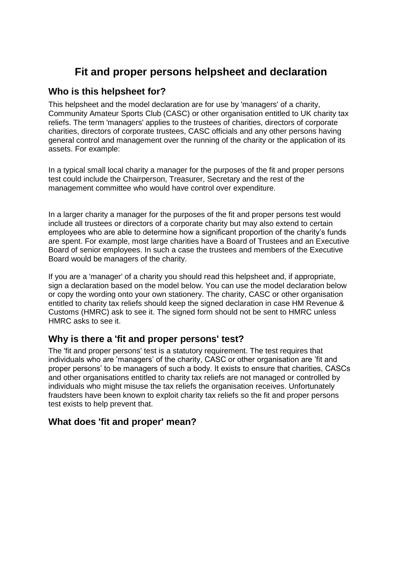# **Fit and proper persons helpsheet and declaration**

## **Who is this helpsheet for?**

This helpsheet and the model declaration are for use by 'managers' of a charity, Community Amateur Sports Club (CASC) or other organisation entitled to UK charity tax reliefs. The term 'managers' applies to the trustees of charities, directors of corporate charities, directors of corporate trustees, CASC officials and any other persons having general control and management over the running of the charity or the application of its assets. For example:

In a typical small local charity a manager for the purposes of the fit and proper persons test could include the Chairperson, Treasurer, Secretary and the rest of the management committee who would have control over expenditure.

In a larger charity a manager for the purposes of the fit and proper persons test would include all trustees or directors of a corporate charity but may also extend to certain employees who are able to determine how a significant proportion of the charity's funds are spent. For example, most large charities have a Board of Trustees and an Executive Board of senior employees. In such a case the trustees and members of the Executive Board would be managers of the charity.

If you are a 'manager' of a charity you should read this helpsheet and, if appropriate, sign a declaration based on the model below. You can use the model declaration below or copy the wording onto your own stationery. The charity, CASC or other organisation entitled to charity tax reliefs should keep the signed declaration in case HM Revenue & Customs (HMRC) ask to see it. The signed form should not be sent to HMRC unless HMRC asks to see it.

## **Why is there a 'fit and proper persons' test?**

The 'fit and proper persons' test is a statutory requirement. The test requires that individuals who are 'managers' of the charity, CASC or other organisation are 'fit and proper persons' to be managers of such a body. It exists to ensure that charities, CASCs and other organisations entitled to charity tax reliefs are not managed or controlled by individuals who might misuse the tax reliefs the organisation receives. Unfortunately fraudsters have been known to exploit charity tax reliefs so the fit and proper persons test exists to help prevent that.

### **What does 'fit and proper' mean?**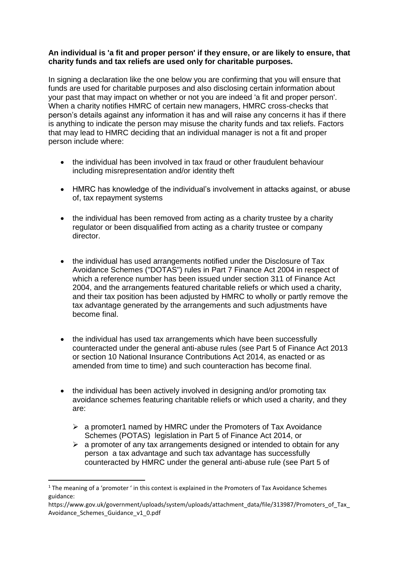#### **An individual is 'a fit and proper person' if they ensure, or are likely to ensure, that charity funds and tax reliefs are used only for charitable purposes.**

In signing a declaration like the one below you are confirming that you will ensure that funds are used for charitable purposes and also disclosing certain information about your past that may impact on whether or not you are indeed 'a fit and proper person'. When a charity notifies HMRC of certain new managers, HMRC cross-checks that person's details against any information it has and will raise any concerns it has if there is anything to indicate the person may misuse the charity funds and tax reliefs. Factors that may lead to HMRC deciding that an individual manager is not a fit and proper person include where:

- the individual has been involved in tax fraud or other fraudulent behaviour including misrepresentation and/or identity theft
- HMRC has knowledge of the individual's involvement in attacks against, or abuse of, tax repayment systems
- the individual has been removed from acting as a charity trustee by a charity regulator or been disqualified from acting as a charity trustee or company director.
- the individual has used arrangements notified under the Disclosure of Tax Avoidance Schemes ("DOTAS") rules in Part 7 Finance Act 2004 in respect of which a reference number has been issued under section 311 of Finance Act 2004, and the arrangements featured charitable reliefs or which used a charity, and their tax position has been adjusted by HMRC to wholly or partly remove the tax advantage generated by the arrangements and such adjustments have become final.
- the individual has used tax arrangements which have been successfully counteracted under the general anti-abuse rules (see Part 5 of Finance Act 2013 or section 10 National Insurance Contributions Act 2014, as enacted or as amended from time to time) and such counteraction has become final.
- the individual has been actively involved in designing and/or promoting tax avoidance schemes featuring charitable reliefs or which used a charity, and they are:
	- $\triangleright$  a promoter1 named by HMRC under the Promoters of Tax Avoidance Schemes (POTAS) legislation in Part 5 of Finance Act 2014, or
	- $\triangleright$  a promoter of any tax arrangements designed or intended to obtain for any person a tax advantage and such tax advantage has successfully counteracted by HMRC under the general anti-abuse rule (see Part 5 of

**.** 

<sup>&</sup>lt;sup>1</sup> The meaning of a 'promoter ' in this context is explained in the Promoters of Tax Avoidance Schemes guidance:

https://www.gov.uk/government/uploads/system/uploads/attachment\_data/file/313987/Promoters\_of\_Tax Avoidance Schemes Guidance v1 0.pdf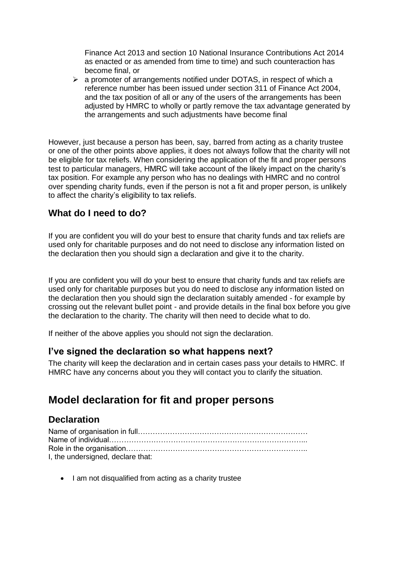Finance Act 2013 and section 10 National Insurance Contributions Act 2014 as enacted or as amended from time to time) and such counteraction has become final, or

 $\triangleright$  a promoter of arrangements notified under DOTAS, in respect of which a reference number has been issued under section 311 of Finance Act 2004, and the tax position of all or any of the users of the arrangements has been adjusted by HMRC to wholly or partly remove the tax advantage generated by the arrangements and such adjustments have become final

However, just because a person has been, say, barred from acting as a charity trustee or one of the other points above applies, it does not always follow that the charity will not be eligible for tax reliefs. When considering the application of the fit and proper persons test to particular managers, HMRC will take account of the likely impact on the charity's tax position. For example any person who has no dealings with HMRC and no control over spending charity funds, even if the person is not a fit and proper person, is unlikely to affect the charity's eligibility to tax reliefs.

### **What do I need to do?**

If you are confident you will do your best to ensure that charity funds and tax reliefs are used only for charitable purposes and do not need to disclose any information listed on the declaration then you should sign a declaration and give it to the charity.

If you are confident you will do your best to ensure that charity funds and tax reliefs are used only for charitable purposes but you do need to disclose any information listed on the declaration then you should sign the declaration suitably amended - for example by crossing out the relevant bullet point - and provide details in the final box before you give the declaration to the charity. The charity will then need to decide what to do.

If neither of the above applies you should not sign the declaration.

### **I've signed the declaration so what happens next?**

The charity will keep the declaration and in certain cases pass your details to HMRC. If HMRC have any concerns about you they will contact you to clarify the situation.

# **Model declaration for fit and proper persons**

### **Declaration**

| I, the undersigned, declare that: |
|-----------------------------------|

• I am not disqualified from acting as a charity trustee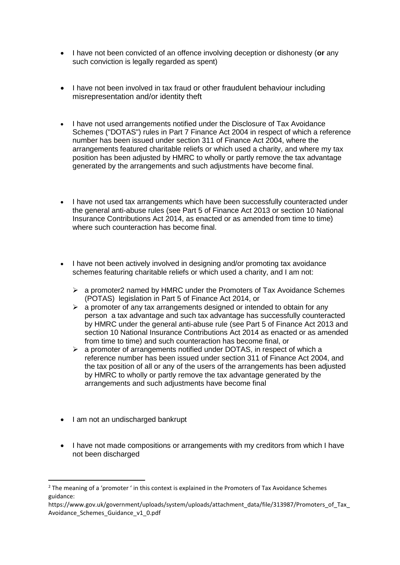- I have not been convicted of an offence involving deception or dishonesty (**or** any such conviction is legally regarded as spent)
- I have not been involved in tax fraud or other fraudulent behaviour including misrepresentation and/or identity theft
- I have not used arrangements notified under the Disclosure of Tax Avoidance Schemes ("DOTAS") rules in Part 7 Finance Act 2004 in respect of which a reference number has been issued under section 311 of Finance Act 2004, where the arrangements featured charitable reliefs or which used a charity, and where my tax position has been adjusted by HMRC to wholly or partly remove the tax advantage generated by the arrangements and such adjustments have become final.
- I have not used tax arrangements which have been successfully counteracted under the general anti-abuse rules (see Part 5 of Finance Act 2013 or section 10 National Insurance Contributions Act 2014, as enacted or as amended from time to time) where such counteraction has become final.
- I have not been actively involved in designing and/or promoting tax avoidance schemes featuring charitable reliefs or which used a charity, and I am not:
	- $\geq$  a promoter2 named by HMRC under the Promoters of Tax Avoidance Schemes (POTAS) legislation in Part 5 of Finance Act 2014, or
	- $\triangleright$  a promoter of any tax arrangements designed or intended to obtain for any person a tax advantage and such tax advantage has successfully counteracted by HMRC under the general anti-abuse rule (see Part 5 of Finance Act 2013 and section 10 National Insurance Contributions Act 2014 as enacted or as amended from time to time) and such counteraction has become final, or
	- $\geq$  a promoter of arrangements notified under DOTAS, in respect of which a reference number has been issued under section 311 of Finance Act 2004, and the tax position of all or any of the users of the arrangements has been adjusted by HMRC to wholly or partly remove the tax advantage generated by the arrangements and such adjustments have become final
- I am not an undischarged bankrupt

**.** 

• I have not made compositions or arrangements with my creditors from which I have not been discharged

<sup>&</sup>lt;sup>2</sup> The meaning of a 'promoter ' in this context is explained in the Promoters of Tax Avoidance Schemes guidance:

https://www.gov.uk/government/uploads/system/uploads/attachment\_data/file/313987/Promoters\_of\_Tax Avoidance Schemes Guidance v1 0.pdf